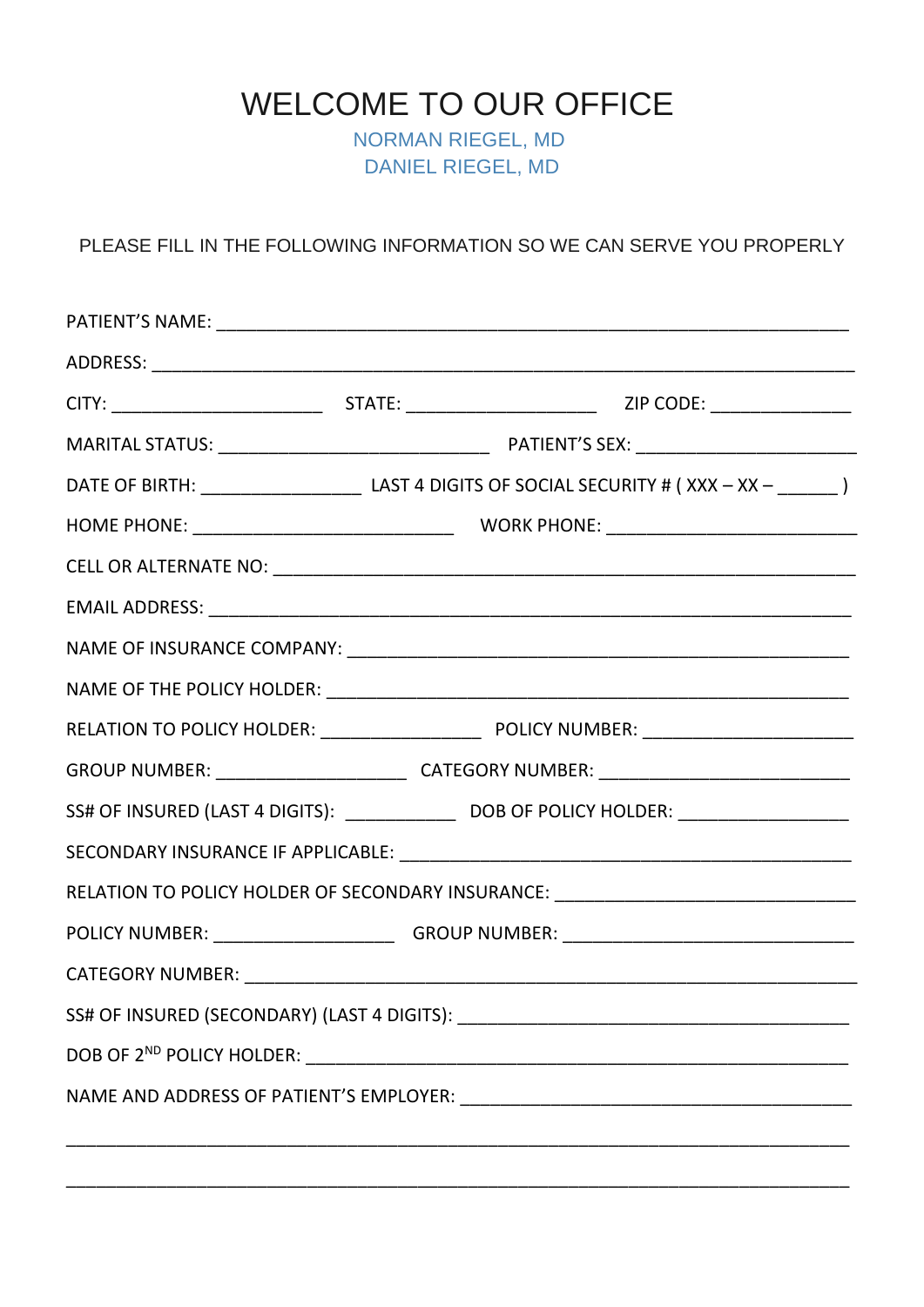## WELCOME TO OUR OFFICE

NORMAN RIEGEL, MD DANIEL RIEGEL, MD

PLEASE FILL IN THE FOLLOWING INFORMATION SO WE CAN SERVE YOU PROPERLY

|  | DATE OF BIRTH: ___________________________________ LAST 4 DIGITS OF SOCIAL SECURITY # (XXX - XX - ___________ |
|--|---------------------------------------------------------------------------------------------------------------|
|  |                                                                                                               |
|  |                                                                                                               |
|  |                                                                                                               |
|  |                                                                                                               |
|  |                                                                                                               |
|  |                                                                                                               |
|  |                                                                                                               |
|  | SS# OF INSURED (LAST 4 DIGITS): ____________________________DOB OF POLICY HOLDER: __________________          |
|  |                                                                                                               |
|  | RELATION TO POLICY HOLDER OF SECONDARY INSURANCE: ______________________________                              |
|  | POLICY NUMBER: ________________________________GROUP NUMBER: ____________________                             |
|  |                                                                                                               |
|  |                                                                                                               |
|  |                                                                                                               |
|  |                                                                                                               |
|  |                                                                                                               |

\_\_\_\_\_\_\_\_\_\_\_\_\_\_\_\_\_\_\_\_\_\_\_\_\_\_\_\_\_\_\_\_\_\_\_\_\_\_\_\_\_\_\_\_\_\_\_\_\_\_\_\_\_\_\_\_\_\_\_\_\_\_\_\_\_\_\_\_\_\_\_\_\_\_\_\_\_\_